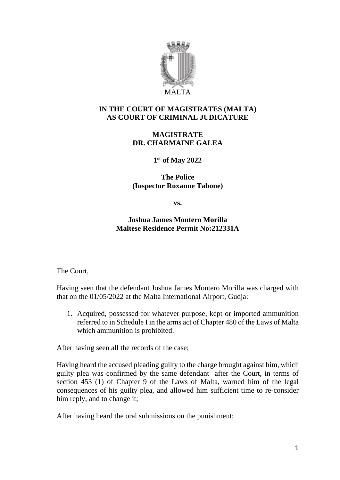

## **IN THE COURT OF MAGISTRATES (MALTA) AS COURT OF CRIMINAL JUDICATURE**

## **MAGISTRATE DR. CHARMAINE GALEA**

**1 st of May 2022**

**The Police (Inspector Roxanne Tabone)**

**vs.**

**Joshua James Montero Morilla Maltese Residence Permit No:212331A**

The Court,

Having seen that the defendant Joshua James Montero Morilla was charged with that on the 01/05/2022 at the Malta International Airport, Gudja:

1. Acquired, possessed for whatever purpose, kept or imported ammunition referred to in Schedule I in the arms act of Chapter 480 of the Laws of Malta which ammunition is prohibited.

After having seen all the records of the case;

Having heard the accused pleading guilty to the charge brought against him, which guilty plea was confirmed by the same defendant after the Court, in terms of section 453 (1) of Chapter 9 of the Laws of Malta, warned him of the legal consequences of his guilty plea, and allowed him sufficient time to re-consider him reply, and to change it;

After having heard the oral submissions on the punishment;